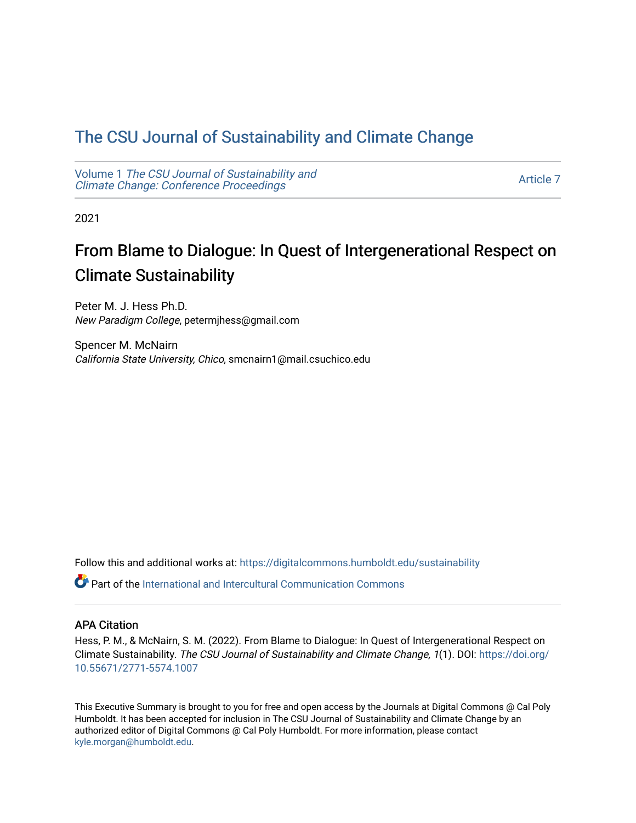## [The CSU Journal of Sustainability and Climate Change](https://digitalcommons.humboldt.edu/sustainability)

Volume 1 [The CSU Journal of Sustainability and](https://digitalcommons.humboldt.edu/sustainability/vol1) [Climate Change: Conference Proceedings](https://digitalcommons.humboldt.edu/sustainability/vol1) 

[Article 7](https://digitalcommons.humboldt.edu/sustainability/vol1/iss1/7) 

2021

# From Blame to Dialogue: In Quest of Intergenerational Respect on Climate Sustainability

Peter M. J. Hess Ph.D. New Paradigm College, petermjhess@gmail.com

Spencer M. McNairn California State University, Chico, smcnairn1@mail.csuchico.edu

Follow this and additional works at: [https://digitalcommons.humboldt.edu/sustainability](https://digitalcommons.humboldt.edu/sustainability?utm_source=digitalcommons.humboldt.edu%2Fsustainability%2Fvol1%2Fiss1%2F7&utm_medium=PDF&utm_campaign=PDFCoverPages)

 $\bullet$  Part of the International and Intercultural Communication Commons

#### APA Citation

Hess, P. M., & McNairn, S. M. (2022). From Blame to Dialogue: In Quest of Intergenerational Respect on Climate Sustainability. The CSU Journal of Sustainability and Climate Change, 1(1). DOI: [https://doi.org/](https://doi.org/10.55671/2771-5574.1007) [10.55671/2771-5574.1007](https://doi.org/10.55671/2771-5574.1007) 

This Executive Summary is brought to you for free and open access by the Journals at Digital Commons @ Cal Poly Humboldt. It has been accepted for inclusion in The CSU Journal of Sustainability and Climate Change by an authorized editor of Digital Commons @ Cal Poly Humboldt. For more information, please contact [kyle.morgan@humboldt.edu](mailto:kyle.morgan@humboldt.edu).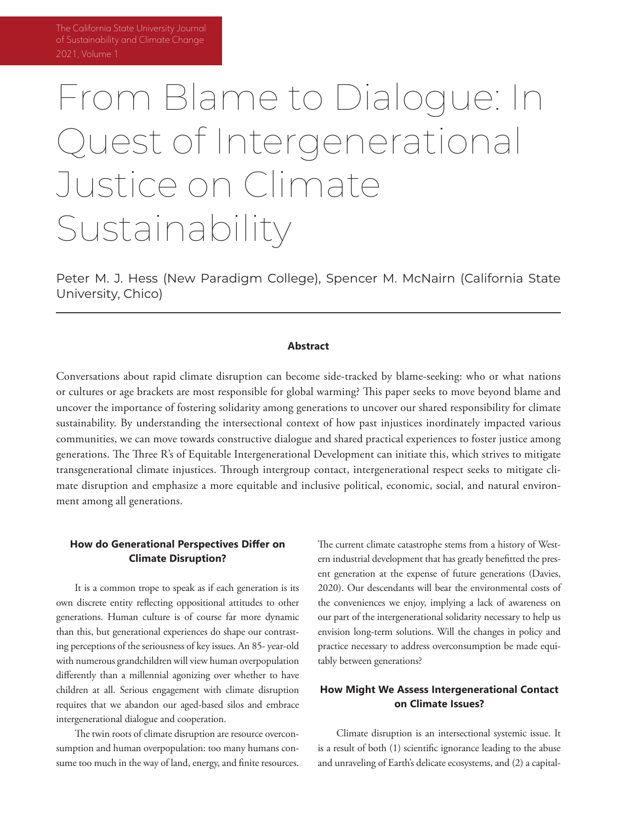# From Blame to Dialogue: In Quest of Intergenerational Justice on Climate Sustainability

Peter M. J. Hess (New Paradigm College), Spencer M. McNairn (California State University, Chico)

#### **Abstract**

Conversations about rapid climate disruption can become side-tracked by blame-seeking: who or what nations or cultures or age brackets are most responsible for global warming? This paper seeks to move beyond blame and uncover the importance of fostering solidarity among generations to uncover our shared responsibility for climate sustainability. By understanding the intersectional context of how past injustices inordinately impacted various communities, we can move towards constructive dialogue and shared practical experiences to foster justice among generations. The Three R's of Equitable Intergenerational Development can initiate this, which strives to mitigate transgenerational climate injustices. Through intergroup contact, intergenerational respect seeks to mitigate climate disruption and emphasize a more equitable and inclusive political, economic, social, and natural environment among all generations.

#### **How do Generational Perspectives Differ on Climate Disruption?**

It is a common trope to speak as if each generation is its own discrete entity reflecting oppositional attitudes to other generations. Human culture is of course far more dynamic than this, but generational experiences do shape our contrasting perceptions of the seriousness of key issues. An 85- year-old with numerous grandchildren will view human overpopulation differently than a millennial agonizing over whether to have children at all. Serious engagement with climate disruption requires that we abandon our aged-based silos and embrace intergenerational dialogue and cooperation.

The twin roots of climate disruption are resource overconsumption and human overpopulation: too many humans consume too much in the way of land, energy, and finite resources.

The current climate catastrophe stems from a history of Western industrial development that has greatly benefitted the present generation at the expense of future generations (Davies, 2020). Our descendants will bear the environmental costs of the conveniences we enjoy, implying a lack of awareness on our part of the intergenerational solidarity necessary to help us envision long-term solutions. Will the changes in policy and practice necessary to address overconsumption be made equitably between generations?

## **How Might We Assess Intergenerational Contact on Climate Issues?**

Climate disruption is an intersectional systemic issue. It is a result of both (1) scientific ignorance leading to the abuse and unraveling of Earth's delicate ecosystems, and (2) a capital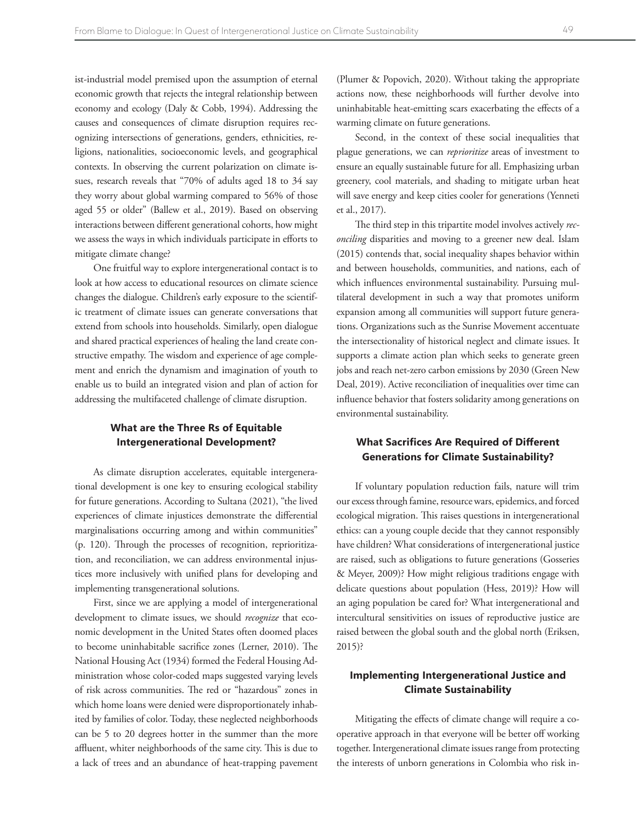ist-industrial model premised upon the assumption of eternal economic growth that rejects the integral relationship between economy and ecology (Daly & Cobb, 1994). Addressing the causes and consequences of climate disruption requires recognizing intersections of generations, genders, ethnicities, religions, nationalities, socioeconomic levels, and geographical contexts. In observing the current polarization on climate issues, research reveals that "70% of adults aged 18 to 34 say they worry about global warming compared to 56% of those aged 55 or older" (Ballew et al., 2019). Based on observing interactions between different generational cohorts, how might we assess the ways in which individuals participate in efforts to mitigate climate change?

One fruitful way to explore intergenerational contact is to look at how access to educational resources on climate science changes the dialogue. Children's early exposure to the scientific treatment of climate issues can generate conversations that extend from schools into households. Similarly, open dialogue and shared practical experiences of healing the land create constructive empathy. The wisdom and experience of age complement and enrich the dynamism and imagination of youth to enable us to build an integrated vision and plan of action for addressing the multifaceted challenge of climate disruption.

#### **What are the Three Rs of Equitable Intergenerational Development?**

As climate disruption accelerates, equitable intergenerational development is one key to ensuring ecological stability for future generations. According to Sultana (2021), "the lived experiences of climate injustices demonstrate the differential marginalisations occurring among and within communities" (p. 120). Through the processes of recognition, reprioritization, and reconciliation, we can address environmental injustices more inclusively with unified plans for developing and implementing transgenerational solutions.

First, since we are applying a model of intergenerational development to climate issues, we should *recognize* that economic development in the United States often doomed places to become uninhabitable sacrifice zones (Lerner, 2010). The National Housing Act (1934) formed the Federal Housing Administration whose color-coded maps suggested varying levels of risk across communities. The red or "hazardous" zones in which home loans were denied were disproportionately inhabited by families of color. Today, these neglected neighborhoods can be 5 to 20 degrees hotter in the summer than the more affluent, whiter neighborhoods of the same city. This is due to a lack of trees and an abundance of heat-trapping pavement

(Plumer & Popovich, 2020). Without taking the appropriate actions now, these neighborhoods will further devolve into uninhabitable heat-emitting scars exacerbating the effects of a warming climate on future generations.

Second, in the context of these social inequalities that plague generations, we can *reprioritize* areas of investment to ensure an equally sustainable future for all. Emphasizing urban greenery, cool materials, and shading to mitigate urban heat will save energy and keep cities cooler for generations (Yenneti et al., 2017).

The third step in this tripartite model involves actively *reconciling* disparities and moving to a greener new deal. Islam (2015) contends that, social inequality shapes behavior within and between households, communities, and nations, each of which influences environmental sustainability. Pursuing multilateral development in such a way that promotes uniform expansion among all communities will support future generations. Organizations such as the Sunrise Movement accentuate the intersectionality of historical neglect and climate issues. It supports a climate action plan which seeks to generate green jobs and reach net-zero carbon emissions by 2030 (Green New Deal, 2019). Active reconciliation of inequalities over time can influence behavior that fosters solidarity among generations on environmental sustainability.

#### **What Sacrifices Are Required of Different Generations for Climate Sustainability?**

If voluntary population reduction fails, nature will trim our excess through famine, resource wars, epidemics, and forced ecological migration. This raises questions in intergenerational ethics: can a young couple decide that they cannot responsibly have children? What considerations of intergenerational justice are raised, such as obligations to future generations (Gosseries & Meyer, 2009)? How might religious traditions engage with delicate questions about population (Hess, 2019)? How will an aging population be cared for? What intergenerational and intercultural sensitivities on issues of reproductive justice are raised between the global south and the global north (Eriksen, 2015)?

## **Implementing Intergenerational Justice and Climate Sustainability**

Mitigating the effects of climate change will require a cooperative approach in that everyone will be better off working together. Intergenerational climate issues range from protecting the interests of unborn generations in Colombia who risk in